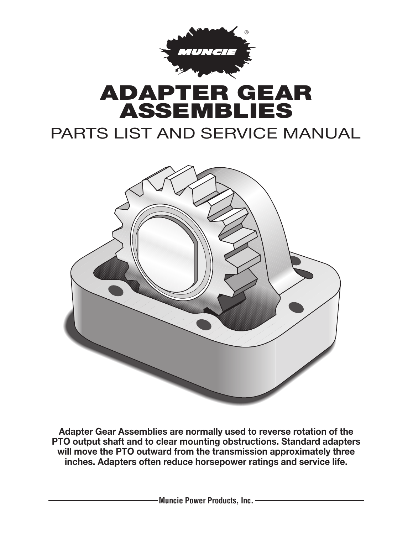

## **ADAPTER GEAR ASSEMBLIES**

### PARTS LIST AND SERVICE MANUAL



**Adapter Gear Assemblies are normally used to reverse rotation of the PTO output shaft and to clear mounting obstructions. Standard adapters will move the PTO outward from the transmission approximately three inches. Adapters often reduce horsepower ratings and service life.**

**Muncie Power Products, Inc.**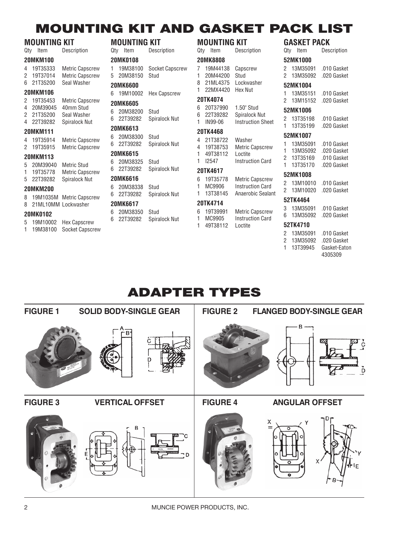### **MOUNTING KIT AND GASKET PACK LIST**

|                | MOUNTING KIT    |                        |
|----------------|-----------------|------------------------|
|                | Qty Item        | Description            |
|                | <b>20MKM100</b> |                        |
|                | 4 19T35333      | <b>Metric Capscrew</b> |
|                | 2 19T37014      | <b>Metric Capscrew</b> |
|                | 6 21T35200      | Seal Washer            |
|                | 20MKM106        |                        |
|                | 2 19T35453      | <b>Metric Capscrew</b> |
|                | 4 20M39045      | 40mm Stud              |
|                | 2 21T35200      | Seal Washer            |
|                | 4 22T39282      | Spiralock Nut          |
|                | <b>20MKM111</b> |                        |
| $\overline{4}$ | 19T35914        | <b>Metric Capscrew</b> |
| $^{2}$         | 19T35915        | <b>Metric Capscrew</b> |
|                | <b>20MKM113</b> |                        |
|                | 5 20M39040      | <b>Metric Stud</b>     |
|                | 1 19T35778      | <b>Metric Capscrew</b> |
|                | 5 22T39282      | <b>Spiralock Nut</b>   |
|                | 20MKM200        |                        |
| 8              | 19M1035M        | <b>Metric Capscrew</b> |
| 8              | 21ML10MM        | Lockwasher             |
|                | 20MK0102        |                        |
| 5              | 19M10002        | <b>Hex Capscrew</b>    |

1 19M38100 Socket Capscrew

| 1. | 19M38100   | <b>Socket Capscrew</b> |
|----|------------|------------------------|
| 5  | 20M38150   | Stud                   |
|    | 20MK6600   |                        |
| 6  | 19M10002   | Hex Capscrew           |
|    | 20MK6605   |                        |
| 6. | 20M38200   | Stud                   |
|    | 6 22T39282 | Spiralock Nut          |
|    | 20MK6613   |                        |
| 6. | 20M38300   | Stud                   |
| 6. | 22T39282   | Spiralock Nut          |
|    | 20MK6615   |                        |
| 6. | 20M38325   | Stud                   |
| 6. | 22T39282   | Spiralock Nut          |
|    | 20MK6616   |                        |
| 6. | 20M38338   | Stud                   |
| 6  | 22T39282   | Spiralock Nut          |
|    | 20MK6617   |                        |
| 6. | 20M38350   | Stud                   |
| 6  | 22T39282   | Spiralock Nut          |

**MOUNTING KIT**<br>Qtv Item Description

Qty Item **20MK0108**

#### Qty Item Description **20MK8808** 7 19M44138 Capscrew 1 20M44200 Stud 8 21ML4375 Lockwasher 1 22MX4420 Hex Nut

#### **20TK4074** 6 20T37990 1.50" Stud

| 6  | 22T39282 | Spiralock Nut            |
|----|----------|--------------------------|
| 1. | IN99-06  | <b>Instruction Sheet</b> |
|    | 20TK4468 |                          |
| 4  | 21T38722 | Washer                   |
| 4  | 19T38753 | <b>Metric Capscrew</b>   |
|    | 10700110 |                          |

1 49T38112 Loctite 1 I2547 Instruction Card

#### **20TK4617**

6 19T35778 Metric Capscrew 1 MC9906 Instruction Card 1 13T38145 Anaerobic Sealant

#### **20TK4714**

6 19T39991 Metric Capscrew 1 MC9905 Instruction Card 1 49T38112 Loctite

| 2<br>1.       | 13T35198<br>13T35199 | .010 Gasket<br>.020 Gasket |
|---------------|----------------------|----------------------------|
|               | 52MK1007             |                            |
|               | 1 13M35091           | .010 Gasket                |
|               | 1 13M35092           | .020 Gasket                |
| $\mathcal{P}$ | 13T35169             | .010 Gasket                |
|               | 1 13T35170           | .020 Gasket                |
|               |                      |                            |

GASKET PACK

2 13M35091 .010 Gasket 2 13M35092 .020 Gasket

1 13M35151 .010 Gasket 2 13M15152 .020 Gasket

**52MK1000**

**52MK1004**

**52MK1006**

Description

#### **52MK1008**

2 13M10010 .010 Gasket 2 13M10020 .020 Gasket

#### **52TK4464**

3 13M35091 .010 Gasket 6 13M35092 .020 Gasket

#### **52TK4710**

|    | 2 13M35091 | .010 Gasket  |
|----|------------|--------------|
| 2  | 13M35092   | .020 Gasket  |
| 1. | 13T39945   | Gasket-Eaton |
|    |            | 4305309      |

### **ADAPTER TYPES**

# **FIGURE 1 SOLID BODY-SINGLE GEAR FIGURE 2 FLANGED BODY-SINGLE GEAR** B **FIGURE 3 VERTICAL OFFSET FIGURE 4 ANGULAR OFFSET** X Y

#### 2 MUNCIE POWER PRODUCTS, INC.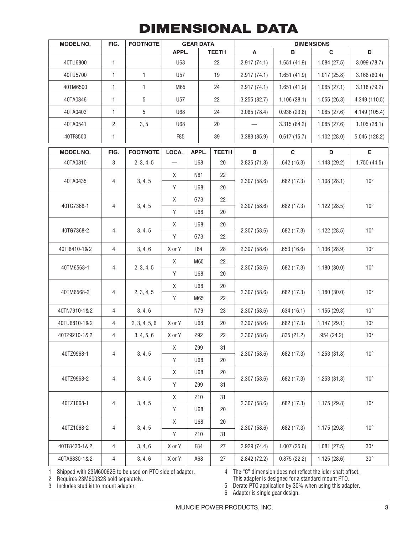### **DIMENSIONAL DATA**

| <b>MODEL NO.</b> | FIG.           | <b>FOOTNOTE</b> | <b>GEAR DATA</b> |            | <b>DIMENSIONS</b> |             |             |              |               |
|------------------|----------------|-----------------|------------------|------------|-------------------|-------------|-------------|--------------|---------------|
|                  |                |                 | APPL.            |            | <b>TEETH</b>      | A           | B           | $\mathbf C$  | D             |
| 40TU6800         | $\mathbf{1}$   |                 | <b>U68</b>       |            | 22                | 2.917(74.1) | 1.651(41.9) | 1.084(27.5)  | 3.099(78.7)   |
| 40TU5700         | $\mathbf{1}$   | $\mathbf{1}$    | U57              |            | 19                | 2.917(74.1) | 1.651(41.9) | 1.017(25.8)  | 3.166(80.4)   |
| 40TM6500         | $\mathbf{1}$   | $\mathbf{1}$    | M65              |            | 24                | 2.917(74.1) | 1.651(41.9) | 1.065(27.1)  | 3.118(79.2)   |
| 40TA0346         | $\mathbf{1}$   | 5               | U <sub>57</sub>  |            | 22                | 3.255(82.7) | 1.106(28.1) | 1.055(26.8)  | 4.349 (110.5) |
| 40TA0403         | 1              | 5               | U68              |            | 24                | 3.085(78.4) | 0.936(23.8) | 1.085(27.6)  | 4.149 (105.4) |
| 40TA0541         | $\overline{c}$ | 3, 5            | U68              |            | 20                |             | 3.315(84.2) | 1.085(27.6)  | 1.105(28.1)   |
| 40TF8500         | $\mathbf{1}$   |                 | F85              |            | 39                | 3.383(85.9) | 0.617(15.7) | 1.102(28.0)  | 5.046 (128.2) |
| <b>MODEL NO.</b> | FIG.           | <b>FOOTNOTE</b> | LOCA.            | APPL.      | <b>TEETH</b>      | B           | $\mathbf C$ | D            | E             |
| 40TA0810         | 3              | 2, 3, 4, 5      |                  | U68        | 20                | 2.825(71.8) | .642(16.3)  | 1.148(29.2)  | 1.750(44.5)   |
|                  |                |                 | Χ                | N81        | 22                |             |             |              |               |
| 40TA0435         | 4              | 3, 4, 5         | Υ                | U68        | 20                | 2.307(58.6) | .682(17.3)  | 1.108(28.1)  | $10^{\circ}$  |
|                  |                |                 | Χ                | G73        | 22                |             |             |              | $10^{\circ}$  |
| 40TG7368-1       | 4              | 3, 4, 5         | Υ                | U68        | 20                | 2.307(58.6) | .682(17.3)  | 1.122(28.5)  |               |
|                  |                |                 | Χ                | <b>U68</b> | 20                |             |             |              | $10^{\circ}$  |
| 40TG7368-2       | 4              | 3, 4, 5         | Υ                | G73        | 22                | 2.307(58.6) | .682(17.3)  | 1.122(28.5)  |               |
| 40TI8410-1&2     | 4              | 3, 4, 6         | X or Y           | 184        | 28                | 2.307(58.6) | .653(16.6)  | 1.136 (28.9) | $10^{\circ}$  |
|                  |                |                 | Χ                | M65        | 22                |             |             |              | $10^{\circ}$  |
| 40TM6568-1       | 4              | 2, 3, 4, 5      | Υ                | U68        | 20                | 2.307(58.6) | .682(17.3)  | 1.180(30.0)  |               |
|                  |                |                 | Χ                | U68        | 20                |             |             |              | $10^{\circ}$  |
| 40TM6568-2       | 4              | 2, 3, 4, 5      | Υ                | M65        | 22                | 2.307(58.6) | .682(17.3)  | 1.180(30.0)  |               |
| 40TN7910-1&2     | 4              | 3, 4, 6         |                  | N79        | 23                | 2.307(58.6) | .634(16.1)  | 1.155(29.3)  | $10^{\circ}$  |
| 40TU6810-1&2     | 4              | 2, 3, 4, 5, 6   | X or Y           | U68        | 20                | 2.307(58.6) | .682(17.3)  | 1.147(29.1)  | $10^{\circ}$  |
| 40TZ9210-1&2     | 4              | 3, 4, 5, 6      | X or Y           | Z92        | 22                | 2.307(58.6) | .835(21.2)  | .954(24.2)   | $10^{\circ}$  |
| 40TZ9968-1       | 4              | 3, 4, 5         | Χ                | Z99        | 31                | 2.307(58.6) | .682(17.3)  | 1.253(31.8)  | $10^{\circ}$  |
|                  |                |                 | Y                | <b>U68</b> | 20                |             |             |              |               |
|                  |                |                 | X                | <b>U68</b> | 20                |             |             |              |               |
| 40TZ9968-2       | 4              | 3, 4, 5         | Y                | Z99        | 31                | 2.307(58.6) | .682(17.3)  | 1.253(31.8)  | $10^{\circ}$  |
| 40TZ1068-1       | 4              |                 | X                | Z10        | 31                | 2.307(58.6) | .682(17.3)  | 1.175(29.8)  | $10^{\circ}$  |
|                  |                | 3, 4, 5         | Y                | <b>U68</b> | 20                |             |             |              |               |
|                  |                |                 | X                | <b>U68</b> | 20                |             |             |              |               |
| 40TZ1068-2       | 4              | 3, 4, 5         | Y                | Z10        | 31                | 2.307(58.6) | .682(17.3)  | 1.175(29.8)  | $10^{\circ}$  |
| 40TF8430-1&2     | 4              | 3, 4, 6         | X or Y           | F84        | 27                | 2.929(74.4) | 1.007(25.6) | 1.081(27.5)  | $30^{\circ}$  |
| 40TA6830-1&2     | 4              | 3, 4, 6         | X or Y           | A68        | 27                | 2.842(72.2) | 0.875(22.2) | 1.125(28.6)  | $30^{\circ}$  |

1 Shipped with 23M60062S to be used on PTO side of adapter.

2 Requires 23M60032S sold separately.

4 The "C" dimension does not reflect the idler shaft offset. This adapter is designed for a standard mount PTO.

3 Includes stud kit to mount adapter.

5 Derate PTO application by 30% when using this adapter. 6 Adapter is single gear design.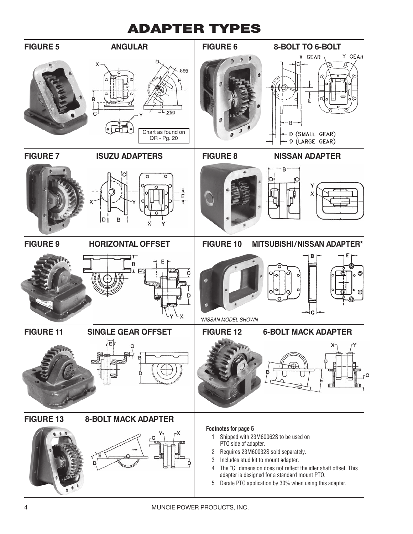### **ADAPTER TYPES**

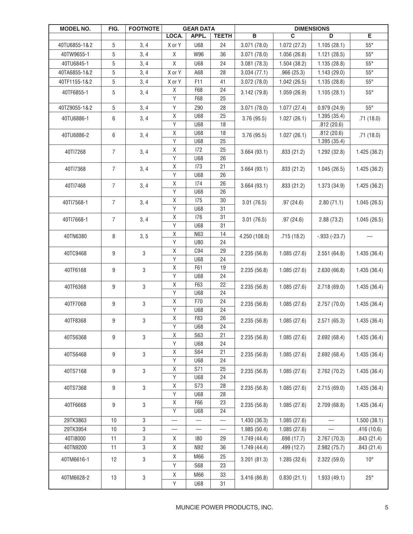| MODEL NO.    | FIG.             | <b>FOOTNOTE</b> | <b>GEAR DATA</b>         |                          | <b>DIMENSIONS</b>        |                         |             |                 |              |
|--------------|------------------|-----------------|--------------------------|--------------------------|--------------------------|-------------------------|-------------|-----------------|--------------|
|              |                  |                 | LOCA.                    | APPL.                    | <b>TEETH</b>             | $\overline{\mathbf{B}}$ | C           | D               | Е            |
| 40TU6855-1&2 | 5                | 3, 4            | X or Y                   | <b>U68</b>               | 24                       | 3.071(78.0)             | 1.072(27.2) | 1.105(28.1)     | $55^{\circ}$ |
| 40TW9655-1   | 5                | 3, 4            | Χ                        | W96                      | 36                       | 3.071(78.0)             | 1.056(26.8) | 1.121(28.5)     | $55^{\circ}$ |
| 40TU6845-1   | 5                | 3, 4            | Χ                        | <b>U68</b>               | 24                       | 3.081(78.3)             | 1.504(38.2) | 1.135(28.8)     | $55^{\circ}$ |
| 40TA6855-1&2 | 5                | 3, 4            | X or Y                   | A68                      | 28                       | 3.034(77.1)             | .966(25.3)  | 1.143(29.0)     | $55^{\circ}$ |
| 40TF1155-1&2 | $\mathbf 5$      | 3, 4            | X or Y                   | F11                      | 41                       | 3.072(78.0)             | 1.042(26.5) | 1.135(28.8)     | $55^{\circ}$ |
| 40TF6855-1   | 5                | 3, 4            | Χ                        | F68                      | 24                       | 3.142(79.8)             | 1.059(26.9) | 1.105(28.1)     | $55^{\circ}$ |
|              |                  |                 | Y                        | F68                      | 25                       |                         |             |                 |              |
| 40TZ9055-1&2 | 5                | 3, 4            | Υ                        | Z90                      | 28                       | 3.071(78.0)             | 1.077(27.4) | 0.979(24.9)     | $55^{\circ}$ |
| 40TU6886-1   | 6                | 3, 4            | $\mathsf X$              | <b>U68</b>               | 25                       | 3.76(95.5)              | 1.027(26.1) | 1.395(35.4)     | .71(18.0)    |
|              |                  |                 | $\overline{Y}$           | <b>U68</b>               | 18                       |                         |             | .812(20.6)      |              |
| 40TU6886-2   | 6                | 3, 4            | $\mathsf X$              | <b>U68</b>               | 18                       | 3.76(95.5)              | 1.027(26.1) | .812(20.6)      | .71(18.0)    |
|              |                  |                 | Υ                        | <b>U68</b>               | 25                       |                         |             | 1.395(35.4)     |              |
| 40TI7268     | $\overline{7}$   | 3, 4            | Χ                        | 172                      | 25                       | 3.664(93.1)             | .833(21.2)  | 1.292(32.8)     | 1.425(36.2)  |
|              |                  |                 | Υ                        | <b>U68</b>               | 26                       |                         |             |                 |              |
| 40TI7368     | $\overline{7}$   | 3, 4            | Χ                        | 173                      | 21                       | 3.664(93.1)             | .833(21.2)  | 1.045(26.5)     | 1.425(36.2)  |
|              |                  |                 | Υ                        | <b>U68</b>               | 26                       |                         |             |                 |              |
| 40TI7468     | 7                | 3, 4            | $\mathsf X$<br>Υ         | 174<br><b>U68</b>        | 26<br>26                 | 3.664(93.1)             | .833(21.2)  | 1.373 (34.9)    | 1.425(36.2)  |
|              |                  |                 | $\mathsf X$              | 175                      | 30                       |                         |             |                 |              |
| 40TI7568-1   | $\overline{7}$   | 3, 4            | Υ                        | <b>U68</b>               | 31                       | 3.01(76.5)              | .97(24.6)   | 2.80(71.1)      | 1.045(26.5)  |
|              |                  |                 | $\mathsf X$              | 176                      | 31                       |                         |             |                 |              |
| 40Tl7668-1   | $\overline{7}$   | 3, 4            | Υ                        | <b>U68</b>               | 31                       | 3.01(76.5)              | .97(24.6)   | 2.88(73.2)      | 1.045(26.5)  |
| 40TN6380     | 8                | 3, 5            | $\mathsf X$              | N63                      | 14                       | 4.250 (108.0)           | .715(18.2)  | $-0.933(-23.7)$ |              |
|              |                  |                 | Υ                        | U80                      | 24                       |                         |             |                 |              |
| 40TC9468     | 9                | 3               | Χ                        | C94                      | 29                       | 2.235(56.8)             | 1.085(27.6) | 2.551(64.8)     | 1.435(36.4)  |
|              |                  |                 | Υ                        | <b>U68</b>               | 24                       |                         |             |                 |              |
| 40TF6168     | $\boldsymbol{9}$ | 3               | $\mathsf X$              | F61                      | 19                       | 2.235(56.8)             | 1.085(27.6) | 2.630(66.8)     | 1.435(36.4)  |
|              |                  |                 | Υ                        | U68                      | 24                       |                         |             |                 |              |
| 40TF6368     | 9                | 3               | $\mathsf X$              | F63                      | 22                       | 2.235(56.8)             | 1.085(27.6) | 2.718(69.0)     | 1.435(36.4)  |
|              |                  |                 | Υ                        | <b>U68</b>               | 24                       |                         |             |                 |              |
| 40TF7068     | 9                | 3               | $\mathsf X$              | F70                      | 24                       | 2.235(56.8)             | 1.085(27.6) | 2.757(70.0)     | 1.435(36.4)  |
|              |                  |                 | Υ                        | <b>U68</b>               | 24                       |                         |             |                 |              |
| 40TF8368     | $\boldsymbol{9}$ | 3               | $\mathsf X$              | F83                      | 26                       | 2.235(56.8)             | 1.085(27.6) | 2.571(65.3)     | 1.435(36.4)  |
|              |                  |                 | Υ                        | U68<br><b>S63</b>        | 24                       |                         |             |                 |              |
| 40TS6368     | $\boldsymbol{9}$ | 3               | $\mathsf X$<br>Υ         | <b>U68</b>               | 21<br>24                 | 2.235(56.8)             | 1.085(27.6) | 2.692(68.4)     | 1.435(36.4)  |
|              |                  |                 | Χ                        | <b>S64</b>               | 21                       |                         |             |                 |              |
| 40TS6468     | 9                | 3               | Υ                        | U68                      | 24                       | 2.235(56.8)             | 1.085(27.6) | 2.692(68.4)     | 1.435(36.4)  |
| 40TS7168     | $\boldsymbol{9}$ | 3               | $\mathsf X$              | S71                      | 25                       |                         |             |                 | 1.435(36.4)  |
|              |                  |                 | Υ                        | U68                      | 24                       | 2.235(56.8)             | 1.085(27.6) | 2.762(70.2)     |              |
| 40TS7368     | 9                | 3               | $\mathsf X$              | S73                      | 28                       | 2.235(56.8)             | 1.085(27.6) | 2.715(69.0)     | 1.435(36.4)  |
|              |                  |                 | Υ                        | U68                      | 28                       |                         |             |                 |              |
| 40TF6668     | 9                | 3               | $\mathsf X$              | F66                      | 23                       | 2.235(56.8)             | 1.085(27.6) | 2.709(68.8)     | 1.435(36.4)  |
|              |                  |                 | $\overline{\mathsf{Y}}$  | <b>U68</b>               | 24                       |                         |             |                 |              |
| 29TK3863     | 10               | 3               |                          |                          | $\overline{\phantom{0}}$ | 1.430(36.3)             | 1.085(27.6) |                 | 1.500(38.1)  |
| 29TK3954     | $10$             | 3               | $\overline{\phantom{0}}$ | $\overline{\phantom{0}}$ | $\overline{\phantom{0}}$ | 1.985(50.4)             | 1.085(27.6) |                 | .416(10.6)   |
| 40TI8000     | 11               | 3               | Χ                        | 180                      | 29                       | 1.749(44.4)             | .698(17.7)  | 2.767(70.3)     | .843(21.4)   |
| 40TN9200     | 11               | 3               | $\mathsf X$              | N92                      | 36                       | 1.749(44.4)             | .499(12.7)  | 2.982(75.7)     | .843(21.4)   |
| 40TM6616-1   | 12               | 3               | Χ                        | M66                      | 25                       | 3.201(81.3)             | 1.285(32.6) | 2.322(59.0)     | $10^{\circ}$ |
|              |                  |                 | Υ                        | <b>S68</b>               | 23                       |                         |             |                 |              |
| 40TM6628-2   | 13               | 3               | Χ                        | M66                      | 33                       | 3.416(86.8)             | 0.830(21.1) | 1.933(49.1)     | $25^{\circ}$ |
|              |                  |                 | Υ                        | <b>U68</b>               | 31                       |                         |             |                 |              |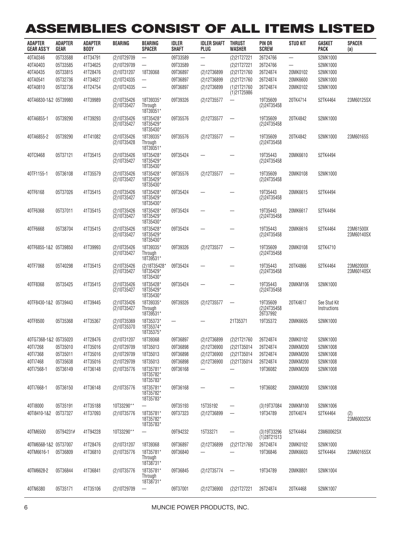# **ASSEMBLIES CONSIST OF ALL ITEMS LISTED**

| ADAPIER<br><b>GEAR ASS'Y</b> | ADAPIER<br><b>GEAR</b> | ADAPIER<br><b>BODY</b> | BEARING                    | BEARING<br><b>SPACER</b>               | idler<br><b>SHAFT</b> | IDLER SHAFI<br>PLUG      | <b>IHRUSI</b><br><b>WASHER</b> | PIN OR<br><b>SCREW</b>              | SIUD KII                 | GASKEI<br><b>PACK</b>        | SPACER<br>(a)           |
|------------------------------|------------------------|------------------------|----------------------------|----------------------------------------|-----------------------|--------------------------|--------------------------------|-------------------------------------|--------------------------|------------------------------|-------------------------|
| 40TA0346                     | 05T33588               | 41T34791               | (2)10T29709                | $\qquad \qquad -$                      | 09T33589              | $\overline{\phantom{0}}$ | (2)21T27221                    | 26T24766                            | $\overline{\phantom{0}}$ | 52MK1000                     |                         |
| 40TA0403                     | 05T33585               | 41T34625               | (2)10T29709                |                                        | 09T33589              |                          | (2)21T27221                    | 26T24766                            | $\overline{\phantom{0}}$ | 52MK1000                     |                         |
| 40TA0435                     | 05T33815               | 41T28476               | (2)10T31207                | 18T39368                               | 09T36897              | (2)12T36899              | (2)21T21760                    | 26T24874                            | 20MK0102                 | 52MK1000                     |                         |
| 40TA0541                     | 05T32736               | 41T34627               | (2)10T24335                |                                        | 09T36897              | (2)12T36899              | (2)21T21760                    | 26T24874                            | 20MK6600                 | 52MK1000                     |                         |
| 40TA0810                     | 05T32736               | 41T24754               | (2)10T24335                |                                        | 09T36897              | (2)12T36899              | (1)21T21760<br>$(1)$ 21T25986  | 26T24874                            | 20MK0102                 | 52MK1000                     |                         |
| 40TA6830-1&2 05T39980        |                        | 41T39989               | (2)10T35426<br>(2)10T35427 | 18T39335*<br>Through<br>18T39351*      | 09T39326              | (2)12T35577              |                                | 19T35609<br>(2)24T35458             | 20TK4714                 | 52TK4464                     | 23M60125SX              |
| 40TA6855-1                   | 05T39290               | 41T39293               | (2)10T35426<br>(2)10T35427 | 18T35428*<br>18T35429*<br>18T35430*    | 09T35576              | (2)12T35577              |                                | 19T35609<br>(2)24T35458             | 20TK4842                 | 52MK1000                     |                         |
| 40TA6855-2                   | 05T39290               | 41T41082               | (2)10T35426<br>(2)10T35428 | 18T39335*<br>Through<br>18T39351*      | 09T35576              | (2)12T35577              |                                | 19T35609<br>(2)24T35458             | 20TK4842                 | 52MK1000                     | 23M60165S               |
| 40TC9468                     | 05T37121               | 41T35415               | (2)10T35426<br>(2)10T35427 | 18T35428*<br>18T35429*<br>18T35430*    | 09T35424              |                          |                                | 19T35443<br>(2)24T35458             | 20MK6610                 | 52TK4494                     |                         |
| 40TF1155-1                   | 05T36108               | 41T35579               | (2)10T35426<br>(2)10T35427 | 18T35428*<br>18T35429*<br>18T35430*    | 09T35576              | (2)12T35577              |                                | 19T35609<br>(2)24T35458             | 20MK0108                 | 52MK1000                     |                         |
| 40TF6168                     | 05T37026               | 41T35415               | (2)10T35426<br>(2)10T35427 | 18T35428*<br>18T35429*<br>18T35430*    | 09T35424              |                          |                                | 19T35443<br>(2)24T35458             | 20MK6615                 | 52TK4494                     |                         |
| 40TF6368                     | 05T37011               | 41T35415               | (2)10T35426<br>(2)10T35427 | 18T35428*<br>18T35429*<br>18T35430*    | 09T35424              |                          |                                | 19T35443<br>(2)24T35458             | 20MK6617                 | 52TK4494                     |                         |
| 40TF6668                     | 05T38704               | 41T35415               | (2)10T35426<br>(2)10T35427 | 18T35428*<br>18T35429*<br>18T35430*    | 09T35424              |                          |                                | 19T35443<br>(2)24T35458             | 20MK6616                 | 52TK4464                     | 23M61500X<br>23M60140SX |
| 40TF6855-1&2 05T39850        |                        | 41T39993               | (2)10T35426<br>(2)10T35427 | 18T39335*<br>Through<br>18T39531*      | 09T39326              | (2)12T35577              |                                | 19T35609<br>(2)24T35458             | 20MK0108                 | 52TK4710                     |                         |
| 40TF7068                     | 05T40298               | 41T35415               | (2)10T35426<br>(2)10T35427 | (2)18T35428*<br>18T35429*<br>18T35430* | 09T35424              |                          |                                | 19T35443<br>(2)24T35458             | 20TK4866                 | 52TK4464                     | 23M62000X<br>23M60140SX |
| 40TF8368                     | 05T35425               | 41T35415               | (2)10T35426<br>(2)10T35427 | 18T35428*<br>18T35429*<br>18T35430*    | 09T35424              |                          |                                | 19T35443<br>(2)24T35458             | 20MKM106                 | 52MK1000                     |                         |
| 40TF8430-1&2 05T39443        |                        | 41T39445               | (2)10T35426<br>(2)10T35427 | 18T39335*<br>Through<br>18T39531*      | 09T39326              | (2)12T35577              |                                | 19T35609<br>(2)24T35458<br>26T37992 | 20TK4617                 | See Stud Kit<br>Instructions |                         |
| 40TF8500                     | 05T35368               | 41T35367               | (2)10T35369<br>(2)10T35370 | 18T35373*<br>18T35374*<br>18T35375*    | —                     |                          | 21T35371                       | 19T35372                            | 20MK6605                 | 52MK1000                     |                         |
| 40TG7368-1&2 05T35020        |                        | 41T28476               | (2)10T31207                | 18T39368                               | 09T36897              | (2)12T36899              | (2)21T21760                    | 26T24874                            | 20MK0102                 | 52MK1000                     |                         |
| 40TI7268                     | 05T35010               | 41T35016               | (2)10T29709                | 18T35013                               | 09T36898              | (2)12T36900              | (2)21T35014                    | 26T24874                            | 20MKM200                 | 52MK1008                     |                         |
| 40TI7368                     | 05T35011               | 41T35016               | (2)10T29709                | 18T35013                               | 09T36898              | (2)12T36900              | (2)21T35014                    | 26T24874                            | 20MKM200                 | 52MK1008                     |                         |
| 40TI7468                     | 05T35638               | 41T35016               | (2)10T29709                | 18T35013                               | 09T36898              | (2)12T36900              | (2)21T35014                    | 26T24874                            | 20MKM200                 | 52MK1008                     |                         |
| 40Tl7568-1                   | 05T36149               | 41T36148               | (2)10T35776                | 18T35781*<br>18T35782*<br>18T35783*    | 09T36168              |                          |                                | 19T36082                            | 20MKM200                 | 52MK1008                     |                         |
| 40TI7668-1                   | 05T36150               | 41T36148               | (2)10T35776                | 18T35781*<br>18T35782*<br>18T35783*    | 09T36168              |                          |                                | 19T36082                            | 20MKM200                 | 52MK1008                     |                         |
| 40TI8000                     | 05T35191               | 41T35188               | 10T33290**                 |                                        | 09T35193              | 15T35192                 | $\overline{\phantom{0}}$       | (3)19T37084                         | 20MKM100                 | 52MK1006                     |                         |
| 40TI8410-1&2                 | 05T37327               | 41T37093               | (2)10T35776                | 18T35781*<br>18T35782*<br>18T35783*    | 09T37323              | (2)12T36899              | $\qquad \qquad -$              | 19T34789                            | 20TK4074                 | 52TK4464                     | (2)<br>23M60032SX       |
| 40TM6500                     | 05T94231#              | 41T94228               | 10T33290**                 |                                        | 09T94232              | 15T33271                 |                                | (3)19T33296<br>(1)28T21513          | 52TK4464                 | 23M60062SX                   |                         |
| 40TM6568-1&2 05T37007        |                        | 41T28476               | (2)10T31207                | 18T39368                               | 09T36897              | (2)12T36899              | (2)21T21760                    | 26T24874                            | 20MK0102                 | 52MK1000                     |                         |
| 40TM6616-1                   | 05T36809               | 41T36810               | (2)10T35776                | 18T35781*<br>Through<br>18T38731*      | 09T36840              |                          |                                | 19T36846                            | 20MK6603                 | 52TK4464                     | 23M60165SX              |
| 40TM6628-2                   | 05T36844               | 41T36841               | (2)10T35776                | 18T35781*<br>Through<br>18T38731*      | 09T36845              | (2)12T35774              | $\overline{\phantom{m}}$       | 19T34789                            | 20MK8801                 | 52MK1004                     |                         |
| 40TN6380                     | 05T35171               | 41T35106               | (2)10T29709                | $\overline{\phantom{m}}$               | 09T37001              | (2)12T36900              | (2)21T27221                    | 26T24874                            | 20TK4468                 | 52MK1007                     |                         |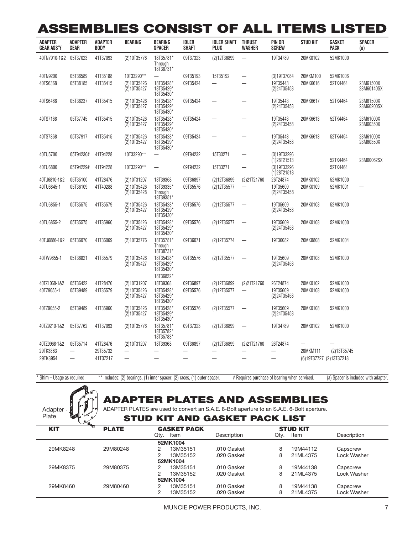### **ASSEMBLIES CONSIST OF ALL ITEMS LISTED**

| <b>ADAPTER</b><br><b>GEAR ASS'Y</b> | <b>ADAPTER</b><br>GEAR   | <b>ADAPTER</b><br><b>BODY</b> | BEARING                    | <b>BEARING</b><br><b>SPACER</b>                  | <b>IDLER</b><br><b>SHAFT</b> | <b>IDLER SHAFT</b><br><b>PLUG</b> | <b>THRUST</b><br><b>WASHER</b> | PIN OR<br><b>SCREW</b>        | <b>STUD KIT</b>         | GASKET<br><b>PACK</b> | <b>SPACER</b><br>(a)    |
|-------------------------------------|--------------------------|-------------------------------|----------------------------|--------------------------------------------------|------------------------------|-----------------------------------|--------------------------------|-------------------------------|-------------------------|-----------------------|-------------------------|
| 40TN7910-1&2                        | 05T37023                 | 41T37093                      | (2)10T35776                | 18T35781*<br>Through<br>18T38731*                | 09T37323                     | (2)12T36899                       | $\overline{\phantom{0}}$       | 19T34789                      | 20MK0102                | 52MK1000              |                         |
| 40TN9200                            | 05T36589                 | 41T35188                      | 10T33290**                 | $\overline{\phantom{0}}$                         | 09T35193                     | 15T35192                          | $\overline{\phantom{0}}$       | (3)19T37084                   | 20MKM100                | 52MK1006              |                         |
| 40TS6368                            | 05T38185                 | 41T35415                      | (2)10T35426<br>(2)10T35427 | 18T35428*<br>18T35429*<br>18T35430*              | 09T35424                     |                                   |                                | 19T35443<br>(2)24T35458       | 20MK6616                | 52TK4464              | 23M61500X<br>23M60140SX |
| 40TS6468                            | 05T38237                 | 41T35415                      | (2)10T35426<br>(2)10T35427 | 18T35428*<br>18T35429*<br>18T35430*              | 09T35424                     |                                   |                                | 19T35443<br>(2)24T35458       | 20MK6617                | 52TK4464              | 23M61500X<br>23M60200SX |
| 40TS7168                            | 05T37745                 | 41T35415                      | (2)10T35426<br>(2)10T35427 | 18T35428*<br>18T35429*<br>18T35430*              | 09T35424                     |                                   |                                | 19T35443<br>(2)24T35458       | 20MK6613                | 52TK4464              | 23M61000X<br>23M60350X  |
| 40TS7368                            | 05T37917                 | 41T35415                      | (2)10T35426<br>(2)10T35427 | 18T35428*<br>18T35429*<br>18T35430*              | 09T35424                     |                                   |                                | 19T35443<br>(2)24T35458       | 20MK6613                | 52TK4464              | 23M61000X<br>23M60350X  |
| 40TU5700                            | 05T94230#                | 41T94228                      | 10T33290**                 | $\overline{\phantom{0}}$                         | 09T94232                     | 15T33271                          | $\overline{\phantom{0}}$       | (3)19T33296<br>$(1)$ 28T21513 |                         | 52TK4464              | 23M60062SX              |
| 40TU6800                            | 05T94229#                | 41T94228                      | 10T33290**                 | $\overline{\phantom{0}}$                         | 09T94232                     | 15T33271                          |                                | (3)19T33296<br>(1)28T21513    |                         | 52TK4464              |                         |
| 40TU6810-1&2                        | 05T35100                 | 41T28476                      | (2)10T31207                | 18T39368                                         | 09T36897                     | (2)12T36899                       | (2)21T21760                    | 26T24874                      | 20MK0102                | 52MK1000              |                         |
| 40TU6845-1                          | 05T36109                 | 41T40288                      | (2)10T35426<br>(2)10T35428 | 18T39335*<br>Through<br>18T39351*                | 09T35576                     | (2)12T35577                       | $\overline{\phantom{0}}$       | 19T35609<br>(2)24T35458       | 20MK0109                | 52MK1001              |                         |
| 40TU6855-1                          | 05T35575                 | 41T35579                      | (2)10T35426<br>(2)10T35427 | 18T35428*<br>18T35429*<br>18T35430*              | 09T35576                     | (2)12T35577                       |                                | 19T35609<br>(2)24T35458       | 20MK0108                | 52MK1000              |                         |
| 40TU6855-2                          | 05T35575                 | 41T35960                      | (2)10T35426<br>(2)10T35427 | 18T35428*<br>18T35429*<br>18T35430*              | 09T35576                     | (2)12T35577                       |                                | 19T35609<br>(2)24T35458       | 20MK0108                | 52MK1000              |                         |
| 40TU6886-1&2                        | 05T36070                 | 41T36069                      | (2)10T35776                | 18T35781*<br>Through<br>18T38731*                | 09T36071                     | (2)12T35774                       |                                | 19T36082                      | 20MK8808                | 52MK1004              |                         |
| 40TW9655-1                          | 05T36821                 | 41T35579                      | (2)10T35426<br>(2)10T35427 | 18T35428*<br>18T35429*<br>18T35430*<br>18T36822* | 09T35576                     | (2)12T35577                       |                                | 19T35609<br>(2)24T35458       | 20MK0108                | 52MK1000              |                         |
| 40TZ1068-1&2                        | 05T36422                 | 41T28476                      | (2)10T31207                | 18T39368                                         | 09T36897                     | (2)12T36899                       | (2)21T21760                    | 26T24874                      | 20MK0102                | 52MK1000              |                         |
| 40TZ9055-1                          | 05T39489                 | 41T35579                      | (2)10T35426<br>(2)10T35427 | 18T35428*<br>18T35429*<br>18T35430*              | 09T35576                     | (2)12T35577                       |                                | 19T35609<br>(2)24T35458       | 20MK0108                | 52MK1000              |                         |
| 40TZ9055-2                          | 05T39489                 | 41T35960                      | (2)10T35426<br>(2)10T35427 | 18T35428*<br>18T35429*<br>18T35430*              | 09T35576                     | (2)12T35577                       |                                | 19T35609<br>(2)24T35458       | 20MK0108                | 52MK1000              |                         |
| 40TZ9210-1&2                        | 05T37762                 | 41T37093                      | (2)10T35776                | 18T35781*<br>18T35782*<br>18T35783*              | 09T37323                     | (2)12T36899                       |                                | 19T34789                      | 20MK0102                | 52MK1000              |                         |
| 40TZ9968-1&2                        | 05T35714                 | 41T28476                      | (2)10T31207                | 18T39368                                         | 09T36897                     | (2)12T36899                       | (2)21T21760                    | 26T24874                      |                         |                       |                         |
| 29TK3863                            | $\overline{\phantom{0}}$ | 29T35732                      | $\overline{\phantom{0}}$   | L.                                               |                              |                                   |                                |                               | 20MKM111                | (2)13T35745           |                         |
| 29TK3954                            | ▃                        | 41T37217                      |                            |                                                  |                              |                                   |                                |                               | (6)19T37727 (2)13T37218 |                       |                         |

\* Shim – Usage as required. \*\* Includes: (2) bearings, (1) inner spacer, (2) races, (1) outer spacer. # Requires purchase of bearing when serviced. (a) Spacer is included with adapter.



### **ADAPTER PLATES AND ASSEMBLIES**

ADAPTER PLATES are used to convert an S.A.E. 8-Bolt aperture to an S.A.E. 6-Bolt aperture.

#### **STUD KIT AND GASKET PACK LIST**

| <b>KIT</b><br><b>PLATE</b> |               |                    | <b>STUD KIT</b> |             |  |  |  |  |
|----------------------------|---------------|--------------------|-----------------|-------------|--|--|--|--|
|                            | Qtv.<br>Item  | Description        | Item<br>Qtv.    | Description |  |  |  |  |
|                            | 52MK1004      |                    |                 |             |  |  |  |  |
| 29M80248                   | 13M35151<br>2 | .010 Gasket        | 8<br>19M44112   | Capscrew    |  |  |  |  |
|                            | 13M35152<br>2 | .020 Gasket        | 21ML4375<br>8   | Lock Washer |  |  |  |  |
|                            | 52MK1004      |                    |                 |             |  |  |  |  |
| 29M80375                   | 13M35151<br>2 | .010 Gasket        | 19M44138<br>8   | Capscrew    |  |  |  |  |
|                            | 2<br>13M35152 | .020 Gasket        | 8<br>21ML4375   | Lock Washer |  |  |  |  |
|                            | 52MK1004      |                    |                 |             |  |  |  |  |
| 29M80460                   | 13M35151<br>2 | .010 Gasket        | 8<br>19M44138   | Capscrew    |  |  |  |  |
|                            | ◠<br>13M35152 | .020 Gasket        | 8<br>21ML4375   | Lock Washer |  |  |  |  |
|                            |               | <b>GASKET PACK</b> |                 |             |  |  |  |  |

MUNCIE POWER PRODUCTS, INC. **7**